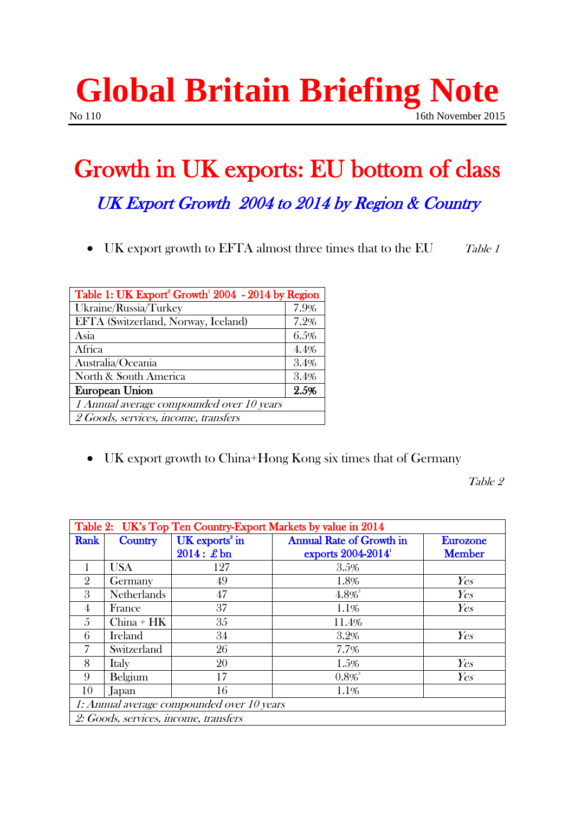### **Global Britain Briefing Note** No 110 16th November 2015

# Growth in UK exports: EU bottom of class

## UK Export Growth 2004 to 2014 by Region & Country

• UK export growth to EFTA almost three times that to the EU Table 1

| Table 1: UK Export <sup>2</sup> Growth <sup>1</sup> 2004 - 2014 by Region |      |
|---------------------------------------------------------------------------|------|
| Ukraine/Russia/Turkey                                                     | 7.9% |
| EFTA (Switzerland, Norway, Iceland)                                       | 7.2% |
| Asia                                                                      | 6.5% |
| Africa                                                                    | 4.4% |
| Australia/Oceania                                                         | 3.4% |
| North & South America                                                     | 3.4% |
| <b>European Union</b>                                                     | 2.5% |
| 1 Annual average compounded over 10 years                                 |      |
| 2 Goods, services, income, transfers                                      |      |

UK export growth to China+Hong Kong six times that of Germany

Table 2

| Table 2: UK's Top Ten Country-Export Markets by value in 2014 |                    |                              |                                    |                 |
|---------------------------------------------------------------|--------------------|------------------------------|------------------------------------|-----------------|
| Rank                                                          | <b>Country</b>     | $UK$ exports <sup>2</sup> in | <b>Annual Rate of Growth in</b>    | <b>Eurozone</b> |
|                                                               |                    | $2014:$ £bn                  | exports $2004 - 2014$ <sup>1</sup> | <b>Member</b>   |
| 1                                                             | <b>USA</b>         | 127                          | 3.5%                               |                 |
| $\overline{2}$                                                | Germany            | 49                           | 1.8%                               | Yes             |
| 3                                                             | <b>Netherlands</b> | 47                           | $4.8\%$                            | Yes             |
| 4                                                             | France             | 37                           | 1.1%                               | Yes             |
| 5                                                             | $China + HK$       | 35                           | 11.4%                              |                 |
| 6                                                             | <b>Ireland</b>     | 34                           | 3.2%                               | Yes             |
| 7                                                             | Switzerland        | 26                           | 7.7%                               |                 |
| 8                                                             | Italy              | 20                           | 1.5%                               | Yes             |
| 9                                                             | Belgium            | 17                           | $0.8\%$ <sup>3</sup>               | Yes             |
| 10                                                            | Japan              | 16                           | 1.1%                               |                 |
| 1: Annual average compounded over 10 years                    |                    |                              |                                    |                 |
| 2: Goods, services, income, transfers                         |                    |                              |                                    |                 |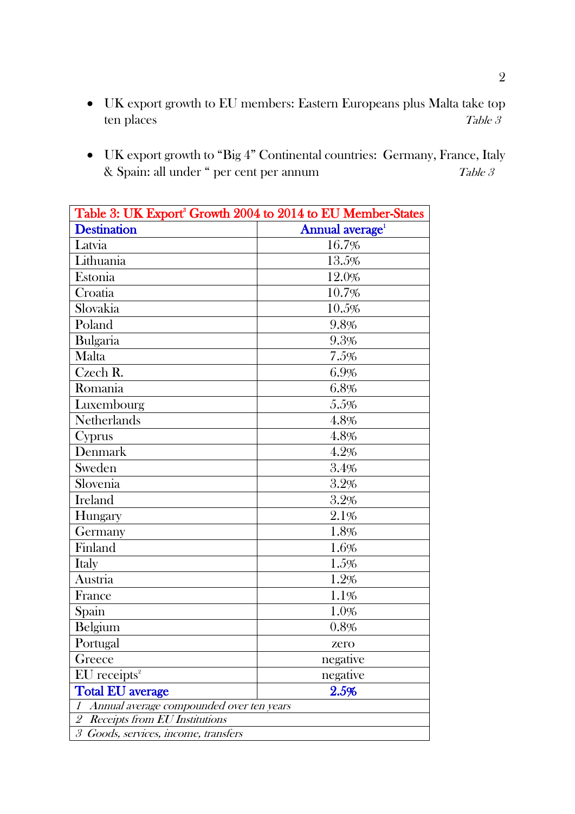- UK export growth to EU members: Eastern Europeans plus Malta take top ten places Table 3
- UK export growth to "Big 4" Continental countries: Germany, France, Italy & Spain: all under " per cent per annum Table 3

| Table 3: UK Export <sup>3</sup> Growth 2004 to 2014 to EU Member-States                         |                             |  |
|-------------------------------------------------------------------------------------------------|-----------------------------|--|
| <b>Destination</b>                                                                              | Annual average <sup>1</sup> |  |
| Latvia                                                                                          | 16.7%                       |  |
| Lithuania                                                                                       | 13.5%                       |  |
| Estonia                                                                                         | 12.0%                       |  |
| Croatia                                                                                         | 10.7%                       |  |
| Slovakia                                                                                        | 10.5%                       |  |
| Poland                                                                                          | 9.8%                        |  |
| Bulgaria                                                                                        | 9.3%                        |  |
| Malta                                                                                           | 7.5%                        |  |
| Czech R.                                                                                        | 6.9%                        |  |
| Romania                                                                                         | $6.8\%$                     |  |
| Luxembourg                                                                                      | 5.5%                        |  |
| Netherlands                                                                                     | 4.8%                        |  |
| Cyprus                                                                                          | 4.8%                        |  |
| Denmark                                                                                         | $4.2\%$                     |  |
| Sweden                                                                                          | 3.4%                        |  |
| Slovenia                                                                                        | 3.2%                        |  |
| Ireland                                                                                         | 3.2%                        |  |
| Hungary                                                                                         | 2.1%                        |  |
| Germany                                                                                         | 1.8%                        |  |
| Finland                                                                                         | 1.6%                        |  |
| Italy                                                                                           | $1.5\%$                     |  |
| Austria                                                                                         | 1.2%                        |  |
| France                                                                                          | 1.1%                        |  |
| Spain                                                                                           | 1.0%                        |  |
| Belgium                                                                                         | 0.8%                        |  |
| Portugal                                                                                        | zero                        |  |
| Greece                                                                                          | negative                    |  |
| $EU$ receipts <sup>2</sup>                                                                      | negative                    |  |
| <b>Total EU average</b>                                                                         | 2.5%                        |  |
| Annual average compounded over ten years<br>1                                                   |                             |  |
| $\overline{2}$<br><b>Receipts from EU Institutions</b>                                          |                             |  |
| $\mathcal{S}% _{M_{1},M_{2}}^{\alpha,\beta}(\varepsilon)$<br>Goods, services, income, transfers |                             |  |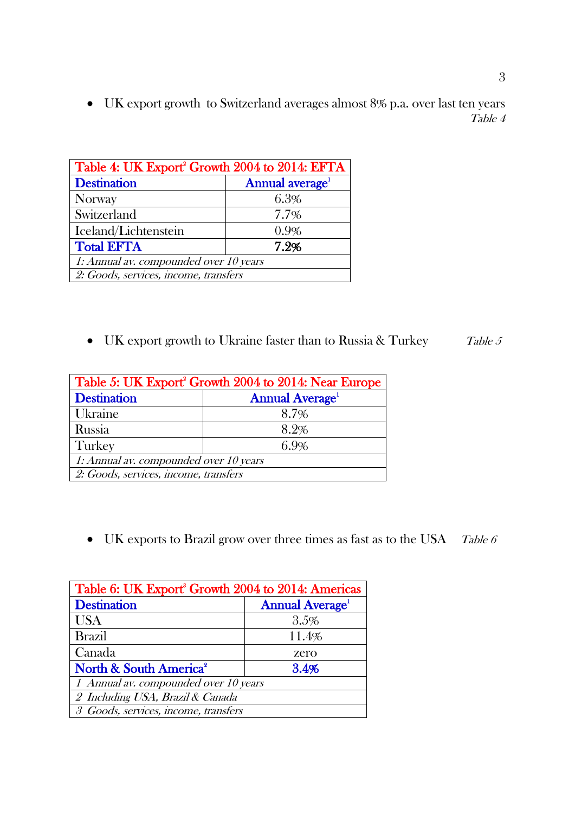UK export growth to Switzerland averages almost 8% p.a. over last ten years Table 4

| Table 4: UK Export <sup>2</sup> Growth 2004 to 2014: EFTA |                             |  |
|-----------------------------------------------------------|-----------------------------|--|
| <b>Destination</b>                                        | Annual average <sup>1</sup> |  |
| Norway                                                    | 6.3%                        |  |
| Switzerland                                               | 7.7%                        |  |
| Iceland/Lichtenstein                                      | 0.9%                        |  |
| <b>Total EFTA</b>                                         | 7.2%                        |  |
| 1: Annual av. compounded over 10 years                    |                             |  |
| 2: Goods, services, income, transfers                     |                             |  |

• UK export growth to Ukraine faster than to Russia & Turkey  $Table 5$ 

| Table 5: UK Export Growth 2004 to 2014: Near Europe |                       |  |
|-----------------------------------------------------|-----------------------|--|
| <b>Destination</b>                                  | <b>Annual Average</b> |  |
| Ukraine                                             | 8.7%                  |  |
| Russia                                              | 8.2%                  |  |
| Turkey                                              | 6.9%                  |  |
| 1: Annual av. compounded over 10 years              |                       |  |
| 2: Goods, services, income, transfers               |                       |  |

• UK exports to Brazil grow over three times as fast as to the USA Table 6

| Table 6: UK Export <sup>8</sup> Growth 2004 to 2014: Americas |                                    |  |
|---------------------------------------------------------------|------------------------------------|--|
| <b>Destination</b>                                            | <b>Annual Average</b> <sup>1</sup> |  |
| <b>USA</b>                                                    | 3.5%                               |  |
| <b>Brazil</b>                                                 | 11.4%                              |  |
| Canada                                                        | zero                               |  |
| North & South America <sup>2</sup>                            | 3.4%                               |  |
| 1 Annual av. compounded over 10 years                         |                                    |  |
| 2 Including USA, Brazil & Canada                              |                                    |  |
| 3 Goods, services, income, transfers                          |                                    |  |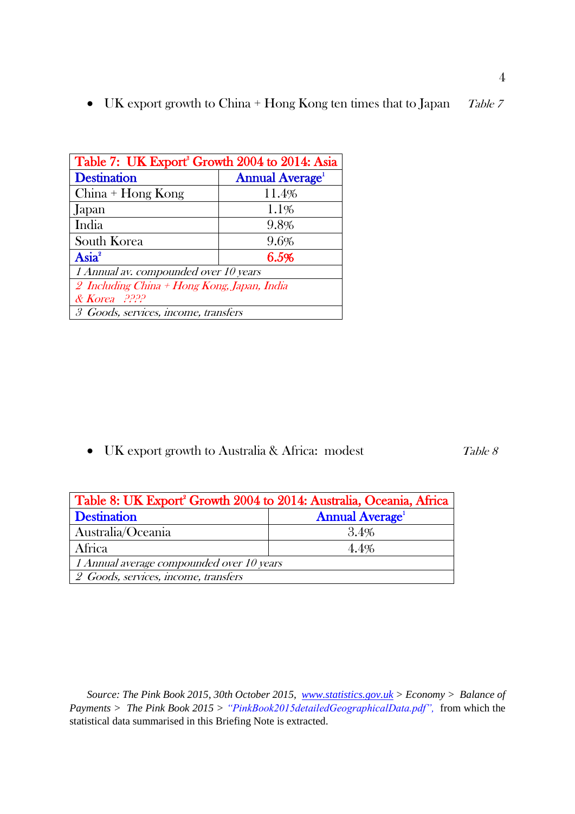• UK export growth to China + Hong Kong ten times that to Japan  $Table 7$ 

| Table 7: UK Export <sup>8</sup> Growth 2004 to 2014: Asia |                       |  |
|-----------------------------------------------------------|-----------------------|--|
| <b>Destination</b>                                        | <b>Annual Average</b> |  |
| $China + Hong Kong$                                       | 11.4%                 |  |
| Japan                                                     | 1.1%                  |  |
| India                                                     | 9.8%                  |  |
| South Korea                                               | 9.6%                  |  |
| Asia <sup>2</sup>                                         | 6.5%                  |  |
| 1 Annual av. compounded over 10 years                     |                       |  |
| 2 Including China + Hong Kong, Japan, India               |                       |  |
| $\&$ Korea $.2222$                                        |                       |  |
| 3 Goods, services, income, transfers                      |                       |  |

• UK export growth to Australia & Africa: modest Table 8

| Table 8: UK Export <sup>2</sup> Growth 2004 to 2014: Australia, Oceania, Africa |                       |  |
|---------------------------------------------------------------------------------|-----------------------|--|
| <b>Destination</b>                                                              | <b>Annual Average</b> |  |
| Australia/Oceania                                                               | 3.4%                  |  |
| Africa                                                                          | 4.4%                  |  |
| 1 Annual average compounded over 10 years                                       |                       |  |
| 2 Goods, services, income, transfers                                            |                       |  |

*Source: The Pink Book 2015, 30th October 2015, [www.statistics.gov.uk](http://www.statistics.gov.uk/) > Economy > Balance of Payments > The Pink Book 2015 > "PinkBook2015detailedGeographicalData.pdf",* from which the statistical data summarised in this Briefing Note is extracted.